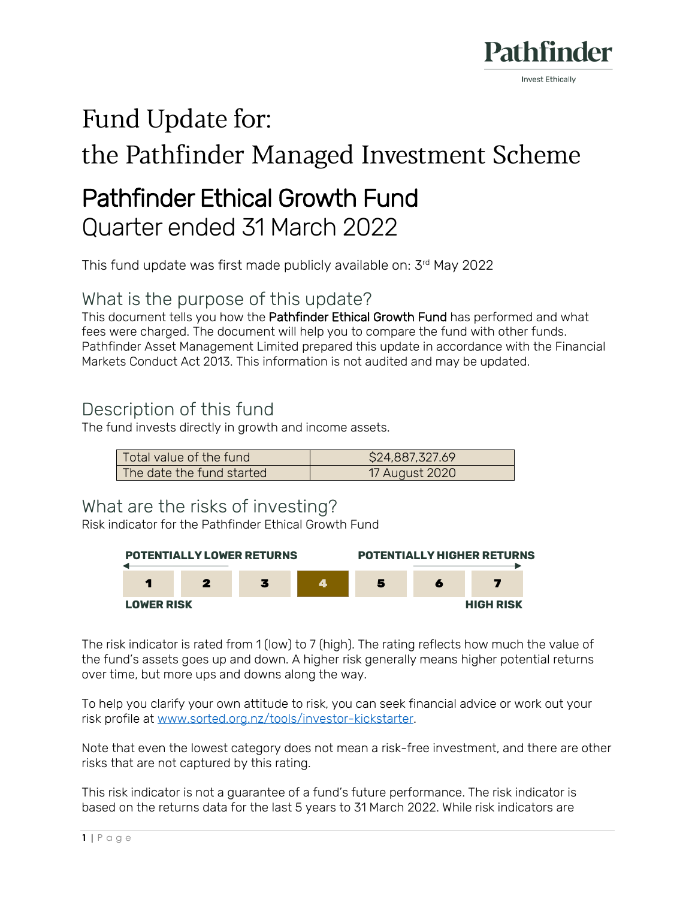

# Fund Update for:

# the Pathfinder Managed Investment Scheme

# Pathfinder Ethical Growth Fund Quarter ended 31 March 2022

This fund update was first made publicly available on: 3 rd May 2022

What is the purpose of this update?

This document tells you how the Pathfinder Ethical Growth Fund has performed and what fees were charged. The document will help you to compare the fund with other funds. Pathfinder Asset Management Limited prepared this update in accordance with the Financial Markets Conduct Act 2013. This information is not audited and may be updated.

# Description of this fund

The fund invests directly in growth and income assets.

| Total value of the fund   | \$24,887,327.69 |
|---------------------------|-----------------|
| The date the fund started | 17 August 2020  |

#### What are the risks of investing?

Risk indicator for the Pathfinder Ethical Growth Fund



The risk indicator is rated from 1 (low) to 7 (high). The rating reflects how much the value of the fund's assets goes up and down. A higher risk generally means higher potential returns over time, but more ups and downs along the way.

To help you clarify your own attitude to risk, you can seek financial advice or work out your risk profile at [www.sorted.org.nz/tools/investor-kickstarter.](http://www.sorted.org.nz/tools/investor-kickstarter)

Note that even the lowest category does not mean a risk-free investment, and there are other risks that are not captured by this rating.

This risk indicator is not a guarantee of a fund's future performance. The risk indicator is based on the returns data for the last 5 years to 31 March 2022. While risk indicators are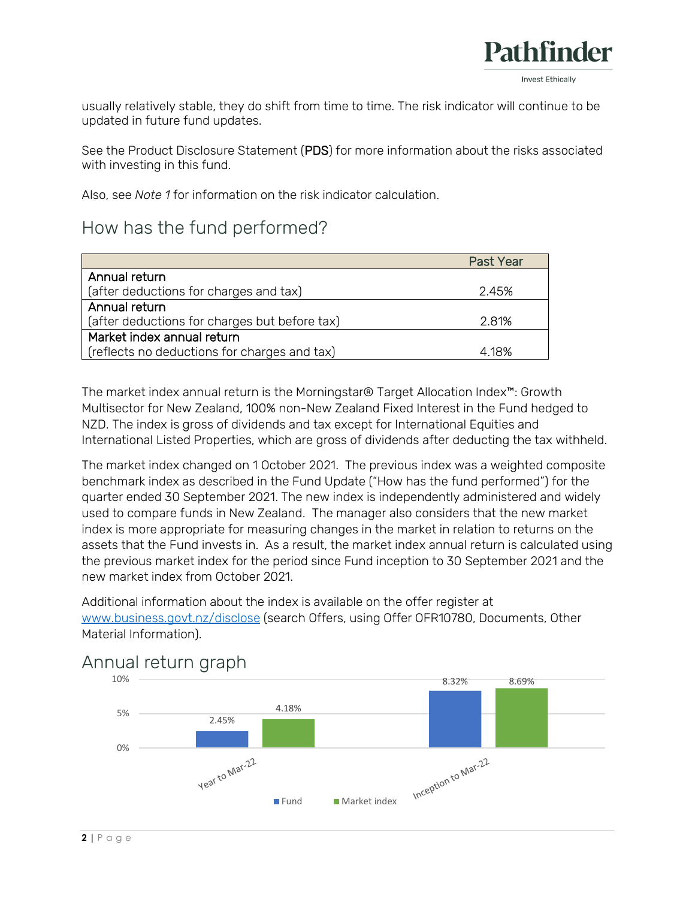

usually relatively stable, they do shift from time to time. The risk indicator will continue to be updated in future fund updates.

See the Product Disclosure Statement (PDS) for more information about the risks associated with investing in this fund.

Also, see *Note 1* for information on the risk indicator calculation.

### How has the fund performed?

|                                               | <b>Past Year</b> |
|-----------------------------------------------|------------------|
| Annual return                                 |                  |
| (after deductions for charges and tax)        | 2.45%            |
| Annual return                                 |                  |
| (after deductions for charges but before tax) | 2.81%            |
| Market index annual return                    |                  |
| (reflects no deductions for charges and tax)  | 4.18%            |

The market index annual return is the Morningstar® Target Allocation Index™: Growth Multisector for New Zealand, 100% non-New Zealand Fixed Interest in the Fund hedged to NZD. The index is gross of dividends and tax except for International Equities and International Listed Properties, which are gross of dividends after deducting the tax withheld.

The market index changed on 1 October 2021. The previous index was a weighted composite benchmark index as described in the Fund Update ("How has the fund performed") for the quarter ended 30 September 2021. The new index is independently administered and widely used to compare funds in New Zealand. The manager also considers that the new market index is more appropriate for measuring changes in the market in relation to returns on the assets that the Fund invests in. As a result, the market index annual return is calculated using the previous market index for the period since Fund inception to 30 September 2021 and the new market index from October 2021.

Additional information about the index is available on the offer register at [www.business.govt.nz/disclose](http://www.business.govt.nz/disclose) (search Offers, using Offer OFR10780, Documents, Other Material Information).



### Annual return graph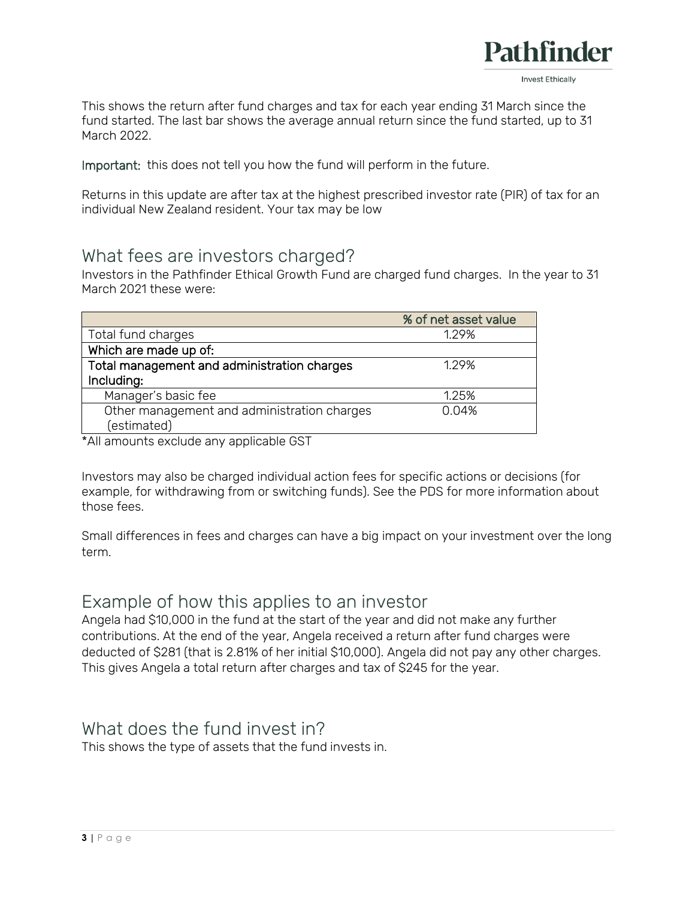

This shows the return after fund charges and tax for each year ending 31 March since the fund started. The last bar shows the average annual return since the fund started, up to 31 March 2022.

Important: this does not tell you how the fund will perform in the future.

Returns in this update are after tax at the highest prescribed investor rate (PIR) of tax for an individual New Zealand resident. Your tax may be low

#### What fees are investors charged?

Investors in the Pathfinder Ethical Growth Fund are charged fund charges. In the year to 31 March 2021 these were:

|                                             | % of net asset value |
|---------------------------------------------|----------------------|
| Total fund charges                          | 129%                 |
| Which are made up of:                       |                      |
| Total management and administration charges | 1.29%                |
| Including:                                  |                      |
| Manager's basic fee                         | 1.25%                |
| Other management and administration charges | 0.04%                |
| (estimated)                                 |                      |

\*All amounts exclude any applicable GST

Investors may also be charged individual action fees for specific actions or decisions (for example, for withdrawing from or switching funds). See the PDS for more information about those fees.

Small differences in fees and charges can have a big impact on your investment over the long term.

#### Example of how this applies to an investor

Angela had \$10,000 in the fund at the start of the year and did not make any further contributions. At the end of the year, Angela received a return after fund charges were deducted of \$281 (that is 2.81% of her initial \$10,000). Angela did not pay any other charges. This gives Angela a total return after charges and tax of \$245 for the year.

# What does the fund invest in?

This shows the type of assets that the fund invests in.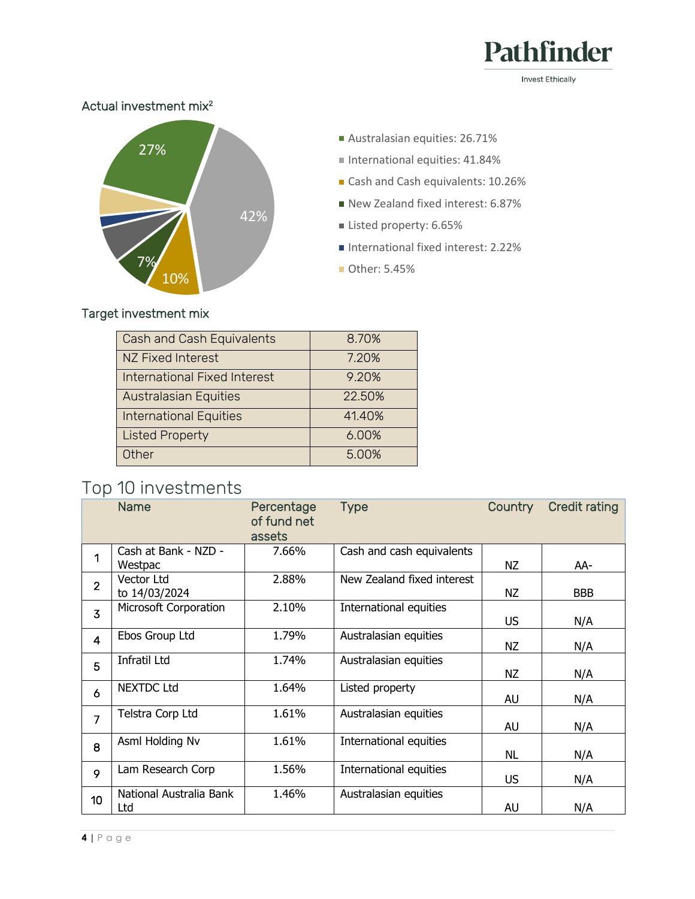

**Invest Ethically** 

#### Actual investment mix<sup>2</sup>



- Australasian equities: 26.71%
- $\blacksquare$  International equities: 41.84%
- Cash and Cash equivalents: 10.26%
- New Zealand fixed interest: 6.87%
- Listed property: 6.65%
- International fixed interest: 2.22%
- Other: 5.45%

#### Target investment mix

| Cash and Cash Equivalents           | 8.70%  |
|-------------------------------------|--------|
| NZ Fixed Interest                   | 7.20%  |
| <b>International Fixed Interest</b> | 9.20%  |
| <b>Australasian Equities</b>        | 22.50% |
| <b>International Equities</b>       | 41.40% |
| <b>Listed Property</b>              | 6.00%  |
| Other                               | 5.00%  |

# Top 10 investments

|                | <b>Name</b>                     | Percentage<br>of fund net<br>assets | <b>Type</b>                | <b>Country</b> | <b>Credit rating</b> |
|----------------|---------------------------------|-------------------------------------|----------------------------|----------------|----------------------|
| 1              | Cash at Bank - NZD -<br>Westpac | 7.66%                               | Cash and cash equivalents  | <b>NZ</b>      | AA-                  |
| $\overline{2}$ | Vector Ltd<br>to 14/03/2024     | 2.88%                               | New Zealand fixed interest | NZ             | <b>BBB</b>           |
| $\overline{3}$ | Microsoft Corporation           | 2.10%                               | International equities     | US             | N/A                  |
| $\overline{4}$ | Ebos Group Ltd                  | 1.79%                               | Australasian equities      | <b>NZ</b>      | N/A                  |
| 5              | <b>Infratil Ltd</b>             | 1.74%                               | Australasian equities      | ΝZ             | N/A                  |
| 6              | <b>NEXTDC Ltd</b>               | 1.64%                               | Listed property            | AU             | N/A                  |
| $\overline{7}$ | Telstra Corp Ltd                | 1.61%                               | Australasian equities      | AU             | N/A                  |
| 8              | Asml Holding Nv                 | 1.61%                               | International equities     | NL             | N/A                  |
| 9              | Lam Research Corp               | 1.56%                               | International equities     | US             | N/A                  |
| 10             | National Australia Bank<br>Ltd  | 1.46%                               | Australasian equities      | AU             | N/A                  |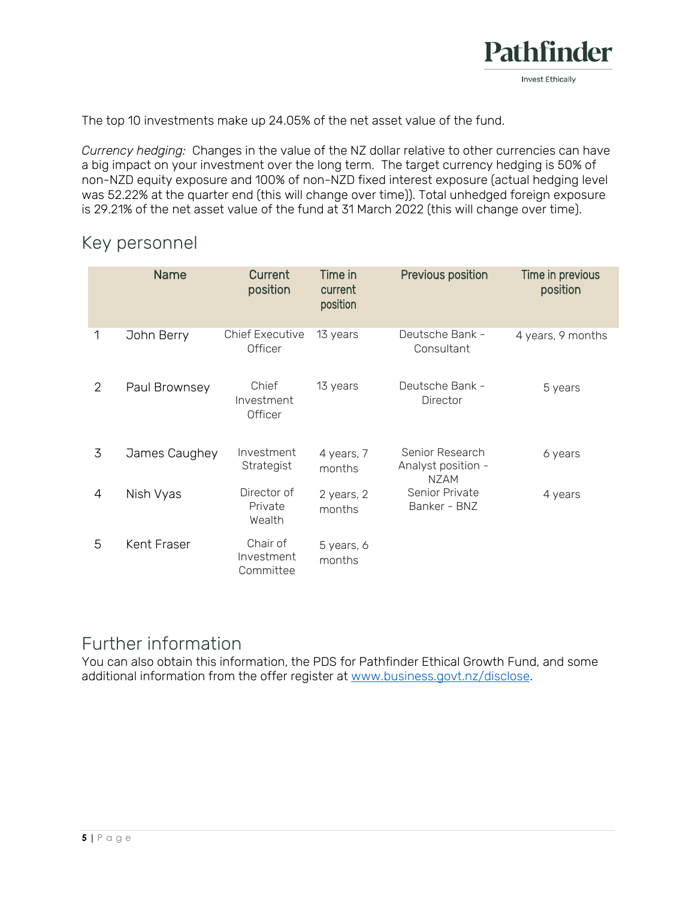

The top 10 investments make up 24.05% of the net asset value of the fund.

*Currency hedging:* Changes in the value of the NZ dollar relative to other currencies can have a big impact on your investment over the long term. The target currency hedging is 50% of non-NZD equity exposure and 100% of non-NZD fixed interest exposure (actual hedging level was 52.22% at the quarter end (this will change over time)). Total unhedged foreign exposure is 29.21% of the net asset value of the fund at 31 March 2022 (this will change over time).

### Key personnel

|   | <b>Name</b>   | Current<br>position                 | Time in<br>current<br>position | Previous position                                    | Time in previous<br>position |
|---|---------------|-------------------------------------|--------------------------------|------------------------------------------------------|------------------------------|
| 1 | John Berry    | <b>Chief Executive</b><br>Officer   | 13 years                       | Deutsche Bank -<br>Consultant                        | 4 years, 9 months            |
| 2 | Paul Brownsey | Chief<br>Investment<br>Officer      | 13 years                       | Deutsche Bank -<br>Director                          | 5 years                      |
| 3 | James Caughey | Investment<br>Strategist            | 4 years, 7<br>months           | Senior Research<br>Analyst position -<br><b>NZAM</b> | 6 years                      |
| 4 | Nish Vyas     | Director of<br>Private<br>Wealth    | 2 years, 2<br>months           | Senior Private<br>Banker - BNZ                       | 4 years                      |
| 5 | Kent Fraser   | Chair of<br>Investment<br>Committee | 5 years, 6<br>months           |                                                      |                              |

# Further information

You can also obtain this information, the PDS for Pathfinder Ethical Growth Fund, and some additional information from the offer register at [www.business.govt.nz/disclose.](http://www.business.govt.nz/disclose)